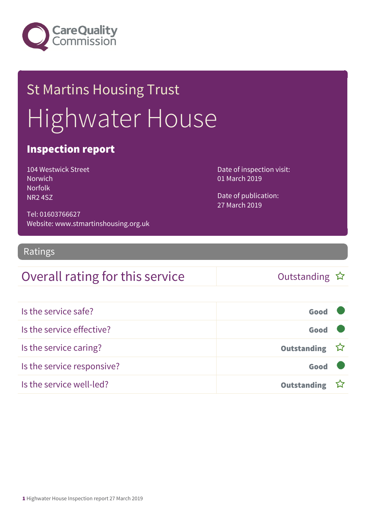

# St Martins Housing Trust Highwater House

### Inspection report

| <b>104 Westwick Street</b> |
|----------------------------|
| <b>Norwich</b>             |
| <b>Norfolk</b>             |
| <b>NR24SZ</b>              |

Date of inspection visit: 01 March 2019

Date of publication: 27 March 2019

Tel: 01603766627 Website: www.stmartinshousing.org.uk

#### Ratings

### Overall rating for this service and the Cutstanding  $\hat{x}$

| Is the service safe?       | Good               |  |
|----------------------------|--------------------|--|
| Is the service effective?  | Good               |  |
| Is the service caring?     | Outstanding ☆      |  |
| Is the service responsive? | Good               |  |
| Is the service well-led?   | <b>Outstanding</b> |  |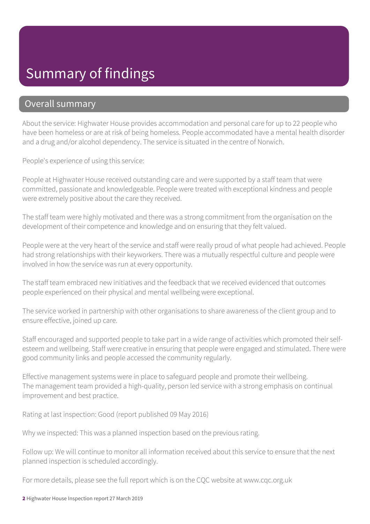### Summary of findings

#### Overall summary

About the service: Highwater House provides accommodation and personal care for up to 22 people who have been homeless or are at risk of being homeless. People accommodated have a mental health disorder and a drug and/or alcohol dependency. The service is situated in the centre of Norwich.

People's experience of using this service:

People at Highwater House received outstanding care and were supported by a staff team that were committed, passionate and knowledgeable. People were treated with exceptional kindness and people were extremely positive about the care they received.

The staff team were highly motivated and there was a strong commitment from the organisation on the development of their competence and knowledge and on ensuring that they felt valued.

People were at the very heart of the service and staff were really proud of what people had achieved. People had strong relationships with their keyworkers. There was a mutually respectful culture and people were involved in how the service was run at every opportunity.

The staff team embraced new initiatives and the feedback that we received evidenced that outcomes people experienced on their physical and mental wellbeing were exceptional.

The service worked in partnership with other organisations to share awareness of the client group and to ensure effective, joined up care.

Staff encouraged and supported people to take part in a wide range of activities which promoted their selfesteem and wellbeing. Staff were creative in ensuring that people were engaged and stimulated. There were good community links and people accessed the community regularly.

Effective management systems were in place to safeguard people and promote their wellbeing. The management team provided a high-quality, person led service with a strong emphasis on continual improvement and best practice.

Rating at last inspection: Good (report published 09 May 2016)

Why we inspected: This was a planned inspection based on the previous rating.

Follow up: We will continue to monitor all information received about this service to ensure that the next planned inspection is scheduled accordingly.

For more details, please see the full report which is on the CQC website at www.cqc.org.uk

2 Highwater House Inspection report 27 March 2019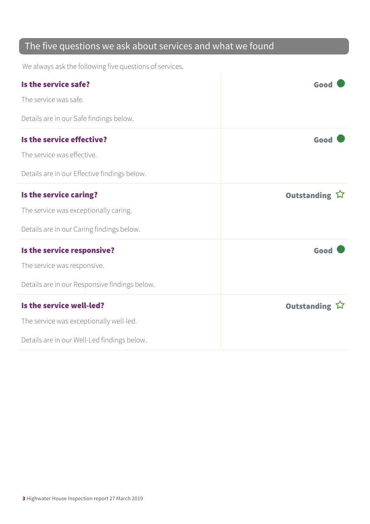### The five questions we ask about services and what we found

We always ask the following five questions of services.

| Is the service safe?                          | Good          |
|-----------------------------------------------|---------------|
| The service was safe.                         |               |
| Details are in our Safe findings below.       |               |
| Is the service effective?                     | Good          |
| The service was effective.                    |               |
| Details are in our Effective findings below.  |               |
| Is the service caring?                        | Outstanding ☆ |
| The service was exceptionally caring.         |               |
| Details are in our Caring findings below.     |               |
| Is the service responsive?                    | Good          |
| The service was responsive.                   |               |
| Details are in our Responsive findings below. |               |
| Is the service well-led?                      | Outstanding ☆ |
| The service was exceptionally well-led.       |               |
| Details are in our Well-Led findings below.   |               |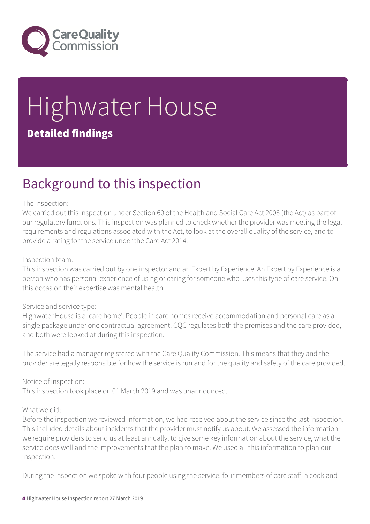

# Highwater House Detailed findings

### Background to this inspection

#### The inspection:

We carried out this inspection under Section 60 of the Health and Social Care Act 2008 (the Act) as part of our regulatory functions. This inspection was planned to check whether the provider was meeting the legal requirements and regulations associated with the Act, to look at the overall quality of the service, and to provide a rating for the service under the Care Act 2014.

#### Inspection team:

This inspection was carried out by one inspector and an Expert by Experience. An Expert by Experience is a person who has personal experience of using or caring for someone who uses this type of care service. On this occasion their expertise was mental health.

#### Service and service type:

Highwater House is a 'care home'. People in care homes receive accommodation and personal care as a single package under one contractual agreement. CQC regulates both the premises and the care provided, and both were looked at during this inspection.

The service had a manager registered with the Care Quality Commission. This means that they and the provider are legally responsible for how the service is run and for the quality and safety of the care provided.'

#### Notice of inspection:

This inspection took place on 01 March 2019 and was unannounced.

#### What we did:

Before the inspection we reviewed information, we had received about the service since the last inspection. This included details about incidents that the provider must notify us about. We assessed the information we require providers to send us at least annually, to give some key information about the service, what the service does well and the improvements that the plan to make. We used all this information to plan our inspection.

During the inspection we spoke with four people using the service, four members of care staff, a cook and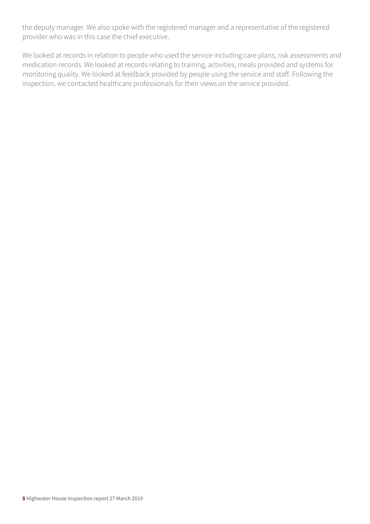the deputy manager. We also spoke with the registered manager and a representative of the registered provider who was in this case the chief executive.

We looked at records in relation to people who used the service including care plans, risk assessments and medication records. We looked at records relating to training, activities, meals provided and systems for monitoring quality. We looked at feedback provided by people using the service and staff. Following the inspection, we contacted healthcare professionals for their views on the service provided.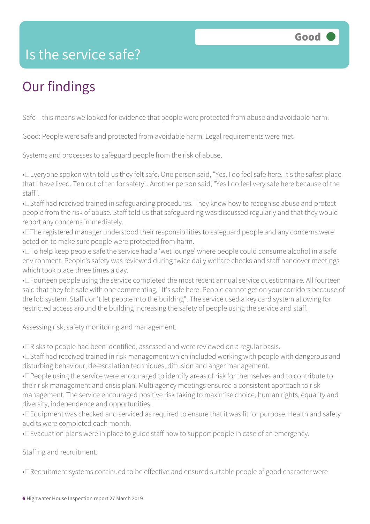### Is the service safe?

### Our findings

Safe – this means we looked for evidence that people were protected from abuse and avoidable harm.

Good: People were safe and protected from avoidable harm. Legal requirements were met.

Systems and processes to safeguard people from the risk of abuse.

• Everyone spoken with told us they felt safe. One person said, "Yes, I do feel safe here. It's the safest place that I have lived. Ten out of ten for safety". Another person said, "Yes I do feel very safe here because of the staff".

• I Staff had received trained in safeguarding procedures. They knew how to recognise abuse and protect people from the risk of abuse. Staff told us that safeguarding was discussed regularly and that they would report any concerns immediately.

• $\square$  The registered manager understood their responsibilities to safeguard people and any concerns were acted on to make sure people were protected from harm.

• $\square$  To help keep people safe the service had a 'wet lounge' where people could consume alcohol in a safe environment. People's safety was reviewed during twice daily welfare checks and staff handover meetings which took place three times a day.

• DFourteen people using the service completed the most recent annual service questionnaire. All fourteen said that they felt safe with one commenting, "It's safe here. People cannot get on your corridors because of the fob system. Staff don't let people into the building". The service used a key card system allowing for restricted access around the building increasing the safety of people using the service and staff.

Assessing risk, safety monitoring and management.

• Elsisks to people had been identified, assessed and were reviewed on a regular basis.

• I Staff had received trained in risk management which included working with people with dangerous and disturbing behaviour, de-escalation techniques, diffusion and anger management.

• Deople using the service were encouraged to identify areas of risk for themselves and to contribute to their risk management and crisis plan. Multi agency meetings ensured a consistent approach to risk management. The service encouraged positive risk taking to maximise choice, human rights, equality and diversity, independence and opportunities.

• Equipment was checked and serviced as required to ensure that it was fit for purpose. Health and safety audits were completed each month.

• Evacuation plans were in place to guide staff how to support people in case of an emergency.

Staffing and recruitment.

• I Recruitment systems continued to be effective and ensured suitable people of good character were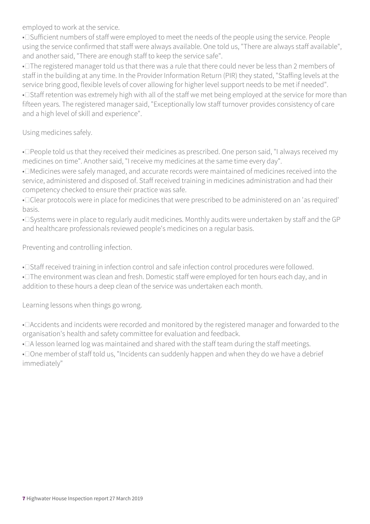employed to work at the service.

• I Sufficient numbers of staff were employed to meet the needs of the people using the service. People using the service confirmed that staff were always available. One told us, "There are always staff available", and another said, "There are enough staff to keep the service safe".

• $\square$  The registered manager told us that there was a rule that there could never be less than 2 members of staff in the building at any time. In the Provider Information Return (PIR) they stated, "Staffing levels at the service bring good, flexible levels of cover allowing for higher level support needs to be met if needed". • I Staff retention was extremely high with all of the staff we met being employed at the service for more than fifteen years. The registered manager said, "Exceptionally low staff turnover provides consistency of care and a high level of skill and experience".

Using medicines safely.

• Deople told us that they received their medicines as prescribed. One person said, "I always received my medicines on time". Another said, "I receive my medicines at the same time every day".

• I Medicines were safely managed, and accurate records were maintained of medicines received into the service, administered and disposed of. Staff received training in medicines administration and had their competency checked to ensure their practice was safe.

• Clear protocols were in place for medicines that were prescribed to be administered on an 'as required' basis.

• Systems were in place to regularly audit medicines. Monthly audits were undertaken by staff and the GP and healthcare professionals reviewed people's medicines on a regular basis.

Preventing and controlling infection.

• I Staff received training in infection control and safe infection control procedures were followed.

• The environment was clean and fresh. Domestic staff were employed for ten hours each day, and in addition to these hours a deep clean of the service was undertaken each month.

Learning lessons when things go wrong.

• DAccidents and incidents were recorded and monitored by the registered manager and forwarded to the organisation's health and safety committee for evaluation and feedback.

• DA lesson learned log was maintained and shared with the staff team during the staff meetings.

• Done member of staff told us, "Incidents can suddenly happen and when they do we have a debrief immediately"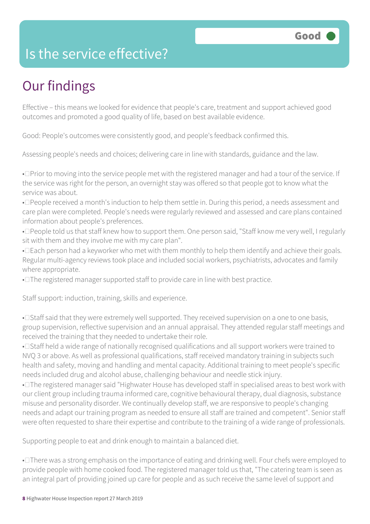### Is the service effective?

## Our findings

Effective – this means we looked for evidence that people's care, treatment and support achieved good outcomes and promoted a good quality of life, based on best available evidence.

Good: People's outcomes were consistently good, and people's feedback confirmed this.

Assessing people's needs and choices; delivering care in line with standards, guidance and the law.

• Derior to moving into the service people met with the registered manager and had a tour of the service. If the service was right for the person, an overnight stay was offered so that people got to know what the service was about.

• **I** People received a month's induction to help them settle in. During this period, a needs assessment and care plan were completed. People's needs were regularly reviewed and assessed and care plans contained information about people's preferences.

• Deople told us that staff knew how to support them. One person said, "Staff know me very well, I regularly sit with them and they involve me with my care plan".

• Each person had a keyworker who met with them monthly to help them identify and achieve their goals. Regular multi-agency reviews took place and included social workers, psychiatrists, advocates and family where appropriate.

• The registered manager supported staff to provide care in line with best practice.

Staff support: induction, training, skills and experience.

• I Staff said that they were extremely well supported. They received supervision on a one to one basis, group supervision, reflective supervision and an annual appraisal. They attended regular staff meetings and received the training that they needed to undertake their role.

• Staff held a wide range of nationally recognised qualifications and all support workers were trained to NVQ 3 or above. As well as professional qualifications, staff received mandatory training in subjects such health and safety, moving and handling and mental capacity. Additional training to meet people's specific needs included drug and alcohol abuse, challenging behaviour and needle stick injury.

• The registered manager said "Highwater House has developed staff in specialised areas to best work with our client group including trauma informed care, cognitive behavioural therapy, dual diagnosis, substance misuse and personality disorder. We continually develop staff, we are responsive to people's changing needs and adapt our training program as needed to ensure all staff are trained and competent". Senior staff were often requested to share their expertise and contribute to the training of a wide range of professionals.

Supporting people to eat and drink enough to maintain a balanced diet.

• There was a strong emphasis on the importance of eating and drinking well. Four chefs were employed to provide people with home cooked food. The registered manager told us that, "The catering team is seen as an integral part of providing joined up care for people and as such receive the same level of support and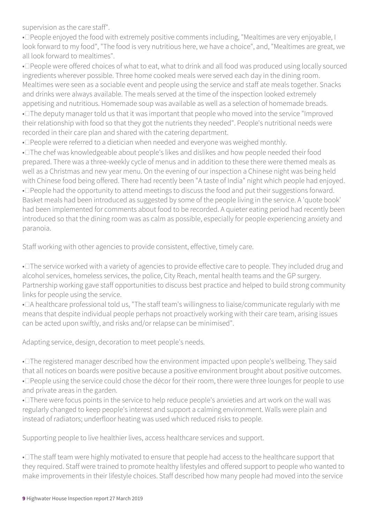supervision as the care staff".

• Deople enjoyed the food with extremely positive comments including, "Mealtimes are very enjoyable, I look forward to my food", "The food is very nutritious here, we have a choice", and, "Mealtimes are great, we all look forward to mealtimes".

• Deople were offered choices of what to eat, what to drink and all food was produced using locally sourced ingredients wherever possible. Three home cooked meals were served each day in the dining room. Mealtimes were seen as a sociable event and people using the service and staff ate meals together. Snacks and drinks were always available. The meals served at the time of the inspection looked extremely appetising and nutritious. Homemade soup was available as well as a selection of homemade breads.

• $\square$  The deputy manager told us that it was important that people who moved into the service "Improved their relationship with food so that they got the nutrients they needed". People's nutritional needs were recorded in their care plan and shared with the catering department.

• Deople were referred to a dietician when needed and everyone was weighed monthly.

• The chef was knowledgeable about people's likes and dislikes and how people needed their food prepared. There was a three-weekly cycle of menus and in addition to these there were themed meals as well as a Christmas and new year menu. On the evening of our inspection a Chinese night was being held with Chinese food being offered. There had recently been "A taste of India" night which people had enjoyed. • Deople had the opportunity to attend meetings to discuss the food and put their suggestions forward. Basket meals had been introduced as suggested by some of the people living in the service. A 'quote book' had been implemented for comments about food to be recorded. A quieter eating period had recently been introduced so that the dining room was as calm as possible, especially for people experiencing anxiety and paranoia.

Staff working with other agencies to provide consistent, effective, timely care.

• $\square$  The service worked with a variety of agencies to provide effective care to people. They included drug and alcohol services, homeless services, the police, City Reach, mental health teams and the GP surgery. Partnership working gave staff opportunities to discuss best practice and helped to build strong community links for people using the service.

•  $\Box$  A healthcare professional told us, "The staff team's willingness to liaise/communicate regularly with me means that despite individual people perhaps not proactively working with their care team, arising issues can be acted upon swiftly, and risks and/or relapse can be minimised".

Adapting service, design, decoration to meet people's needs.

• $\square$  The registered manager described how the environment impacted upon people's wellbeing. They said that all notices on boards were positive because a positive environment brought about positive outcomes. • Deople using the service could chose the décor for their room, there were three lounges for people to use and private areas in the garden.

• There were focus points in the service to help reduce people's anxieties and art work on the wall was regularly changed to keep people's interest and support a calming environment. Walls were plain and instead of radiators; underfloor heating was used which reduced risks to people.

Supporting people to live healthier lives, access healthcare services and support.

• $\square$  The staff team were highly motivated to ensure that people had access to the healthcare support that they required. Staff were trained to promote healthy lifestyles and offered support to people who wanted to make improvements in their lifestyle choices. Staff described how many people had moved into the service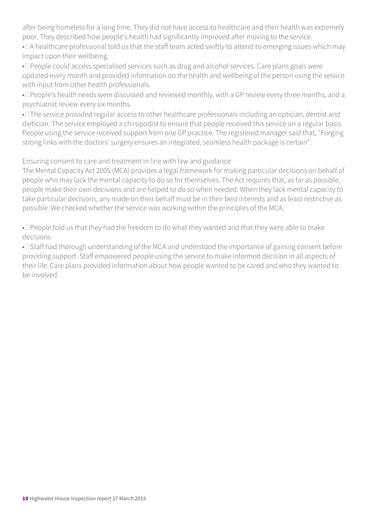after being homeless for a long time. They did not have access to healthcare and their health was extremely poor. They described how people's health had significantly improved after moving to the service.

• DA healthcare professional told us that the staff team acted swiftly to attend to emerging issues which may impact upon their wellbeing.

• Deople could access specialised services such as drug and alcohol services. Care plans goals were updated every month and provided information on the health and wellbeing of the person using the service with input from other health professionals.

• Deople's health needs were discussed and reviewed monthly, with a GP review every three months, and a psychiatrist review every six months.

• The service provided regular access to other healthcare professionals including an optician, dentist and dietician. The service employed a chiropodist to ensure that people received this service on a regular basis. People using the service received support from one GP practice. The registered manager said that, "Forging strong links with the doctors' surgery ensures an integrated, seamless health package is certain".

Ensuring consent to care and treatment in line with law and guidance

The Mental Capacity Act 2005 (MCA) provides a legal framework for making particular decisions on behalf of people who may lack the mental capacity to do so for themselves. The Act requires that, as far as possible, people make their own decisions and are helped to do so when needed. When they lack mental capacity to take particular decisions, any made on their behalf must be in their best interests and as least restrictive as possible. We checked whether the service was working within the principles of the MCA.

• Deople told us that they had the freedom to do what they wanted and that they were able to make decisions.

• I Staff had thorough understanding of the MCA and understood the importance of gaining consent before providing support. Staff empowered people using the service to make informed decision in all aspects of their life. Care plans provided information about how people wanted to be cared and who they wanted to be involved.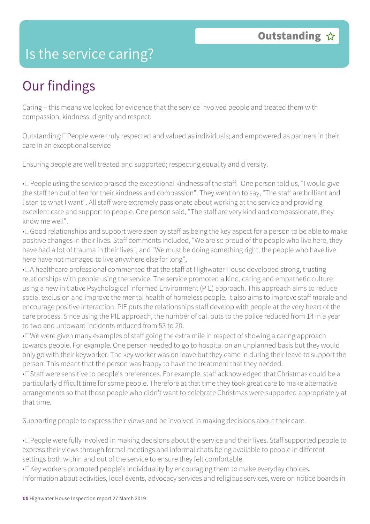### Is the service caring?

## Our findings

Caring – this means we looked for evidence that the service involved people and treated them with compassion, kindness, dignity and respect.

Outstanding:  $\Box$  People were truly respected and valued as individuals; and empowered as partners in their care in an exceptional service

Ensuring people are well treated and supported; respecting equality and diversity.

• Deople using the service praised the exceptional kindness of the staff. One person told us, "I would give the staff ten out of ten for their kindness and compassion". They went on to say, "The staff are brilliant and listen to what I want". All staff were extremely passionate about working at the service and providing excellent care and support to people. One person said, "The staff are very kind and compassionate, they know me well".

• $\Box$ Good relationships and support were seen by staff as being the key aspect for a person to be able to make positive changes in their lives. Staff comments included, "We are so proud of the people who live here, they have had a lot of trauma in their lives", and "We must be doing something right, the people who have live here have not managed to live anywhere else for long",

•  $\Box$  A healthcare professional commented that the staff at Highwater House developed strong, trusting relationships with people using the service. The service promoted a kind, caring and empathetic culture using a new initiative Psychological Informed Environment (PIE) approach. This approach aims to reduce social exclusion and improve the mental health of homeless people. It also aims to improve staff morale and encourage positive interaction. PIE puts the relationships staff develop with people at the very heart of the care process. Since using the PIE approach, the number of call outs to the police reduced from 14 in a year to two and untoward incidents reduced from 53 to 20.

• I've were given many examples of staff going the extra mile in respect of showing a caring approach towards people. For example. One person needed to go to hospital on an unplanned basis but they would only go with their keyworker. The key worker was on leave but they came in during their leave to support the person. This meant that the person was happy to have the treatment that they needed.

• I Staff were sensitive to people's preferences. For example, staff acknowledged that Christmas could be a particularly difficult time for some people. Therefore at that time they took great care to make alternative arrangements so that those people who didn't want to celebrate Christmas were supported appropriately at that time.

Supporting people to express their views and be involved in making decisions about their care.

• Deople were fully involved in making decisions about the service and their lives. Staff supported people to express their views through formal meetings and informal chats being available to people in different settings both within and out of the service to ensure they felt comfortable.

• Ekey workers promoted people's individuality by encouraging them to make everyday choices. Information about activities, local events, advocacy services and religious services, were on notice boards in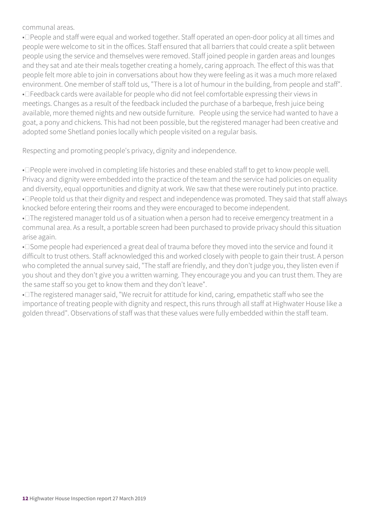communal areas.

• Deople and staff were equal and worked together. Staff operated an open-door policy at all times and people were welcome to sit in the offices. Staff ensured that all barriers that could create a split between people using the service and themselves were removed. Staff joined people in garden areas and lounges and they sat and ate their meals together creating a homely, caring approach. The effect of this was that people felt more able to join in conversations about how they were feeling as it was a much more relaxed environment. One member of staff told us, "There is a lot of humour in the building, from people and staff". • Theedback cards were available for people who did not feel comfortable expressing their views in meetings. Changes as a result of the feedback included the purchase of a barbeque, fresh juice being available, more themed nights and new outside furniture. People using the service had wanted to have a goat, a pony and chickens. This had not been possible, but the registered manager had been creative and adopted some Shetland ponies locally which people visited on a regular basis.

Respecting and promoting people's privacy, dignity and independence.

• Deople were involved in completing life histories and these enabled staff to get to know people well. Privacy and dignity were embedded into the practice of the team and the service had policies on equality and diversity, equal opportunities and dignity at work. We saw that these were routinely put into practice. • Deople told us that their dignity and respect and independence was promoted. They said that staff always knocked before entering their rooms and they were encouraged to become independent.

• The registered manager told us of a situation when a person had to receive emergency treatment in a communal area. As a result, a portable screen had been purchased to provide privacy should this situation arise again.

• Some people had experienced a great deal of trauma before they moved into the service and found it difficult to trust others. Staff acknowledged this and worked closely with people to gain their trust. A person who completed the annual survey said, "The staff are friendly, and they don't judge you, they listen even if you shout and they don't give you a written warning. They encourage you and you can trust them. They are the same staff so you get to know them and they don't leave".

• $\square$  The registered manager said, "We recruit for attitude for kind, caring, empathetic staff who see the importance of treating people with dignity and respect, this runs through all staff at Highwater House like a golden thread". Observations of staff was that these values were fully embedded within the staff team.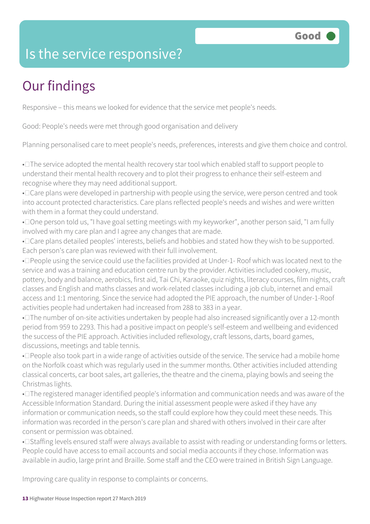### Is the service responsive?

# Our findings

Responsive – this means we looked for evidence that the service met people's needs.

Good: People's needs were met through good organisation and delivery

Planning personalised care to meet people's needs, preferences, interests and give them choice and control.

• The service adopted the mental health recovery star tool which enabled staff to support people to understand their mental health recovery and to plot their progress to enhance their self-esteem and recognise where they may need additional support.

• Care plans were developed in partnership with people using the service, were person centred and took into account protected characteristics. Care plans reflected people's needs and wishes and were written with them in a format they could understand.

• Done person told us, "I have goal setting meetings with my keyworker", another person said, "I am fully involved with my care plan and I agree any changes that are made.

• Care plans detailed peoples' interests, beliefs and hobbies and stated how they wish to be supported. Each person's care plan was reviewed with their full involvement.

• Deople using the service could use the facilities provided at Under-1- Roof which was located next to the service and was a training and education centre run by the provider. Activities included cookery, music, pottery, body and balance, aerobics, first aid, Tai Chi, Karaoke, quiz nights, literacy courses, film nights, craft classes and English and maths classes and work-related classes including a job club, internet and email access and 1:1 mentoring. Since the service had adopted the PIE approach, the number of Under-1-Roof activities people had undertaken had increased from 288 to 383 in a year.

• $\square$  The number of on-site activities undertaken by people had also increased significantly over a 12-month period from 959 to 2293. This had a positive impact on people's self-esteem and wellbeing and evidenced the success of the PIE approach. Activities included reflexology, craft lessons, darts, board games, discussions, meetings and table tennis.

• Deople also took part in a wide range of activities outside of the service. The service had a mobile home on the Norfolk coast which was regularly used in the summer months. Other activities included attending classical concerts, car boot sales, art galleries, the theatre and the cinema, playing bowls and seeing the Christmas lights.

• $\square$  The registered manager identified people's information and communication needs and was aware of the Accessible Information Standard. During the initial assessment people were asked if they have any information or communication needs, so the staff could explore how they could meet these needs. This information was recorded in the person's care plan and shared with others involved in their care after consent or permission was obtained.

• I Staffing levels ensured staff were always available to assist with reading or understanding forms or letters. People could have access to email accounts and social media accounts if they chose. Information was available in audio, large print and Braille. Some staff and the CEO were trained in British Sign Language.

Improving care quality in response to complaints or concerns.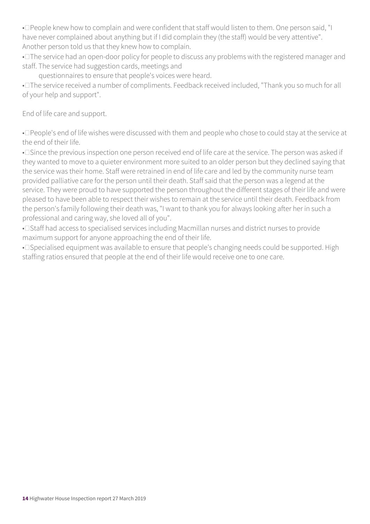• Deople knew how to complain and were confident that staff would listen to them. One person said, "I have never complained about anything but if I did complain they (the staff) would be very attentive". Another person told us that they knew how to complain.

• $\square$  The service had an open-door policy for people to discuss any problems with the registered manager and staff. The service had suggestion cards, meetings and

questionnaires to ensure that people's voices were heard.

• The service received a number of compliments. Feedback received included, "Thank you so much for all of your help and support".

End of life care and support.

• People's end of life wishes were discussed with them and people who chose to could stay at the service at the end of their life.

• Since the previous inspection one person received end of life care at the service. The person was asked if they wanted to move to a quieter environment more suited to an older person but they declined saying that the service was their home. Staff were retrained in end of life care and led by the community nurse team provided palliative care for the person until their death. Staff said that the person was a legend at the service. They were proud to have supported the person throughout the different stages of their life and were pleased to have been able to respect their wishes to remain at the service until their death. Feedback from the person's family following their death was, "I want to thank you for always looking after her in such a professional and caring way, she loved all of you".

• I Staff had access to specialised services including Macmillan nurses and district nurses to provide maximum support for anyone approaching the end of their life.

• Specialised equipment was available to ensure that people's changing needs could be supported. High staffing ratios ensured that people at the end of their life would receive one to one care.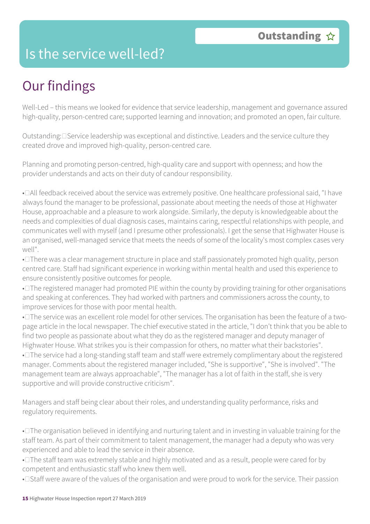### Is the service well-led?

## Our findings

Well-Led – this means we looked for evidence that service leadership, management and governance assured high-quality, person-centred care; supported learning and innovation; and promoted an open, fair culture.

Outstanding: **Service leadership was exceptional and distinctive.** Leaders and the service culture they created drove and improved high-quality, person-centred care.

Planning and promoting person-centred, high-quality care and support with openness; and how the provider understands and acts on their duty of candour responsibility.

• DAll feedback received about the service was extremely positive. One healthcare professional said, "I have always found the manager to be professional, passionate about meeting the needs of those at Highwater House, approachable and a pleasure to work alongside. Similarly, the deputy is knowledgeable about the needs and complexities of dual diagnosis cases, maintains caring, respectful relationships with people, and communicates well with myself (and I presume other professionals). I get the sense that Highwater House is an organised, well-managed service that meets the needs of some of the locality's most complex cases very well".

• There was a clear management structure in place and staff passionately promoted high quality, person centred care. Staff had significant experience in working within mental health and used this experience to ensure consistently positive outcomes for people.

• $\square$  The registered manager had promoted PIE within the county by providing training for other organisations and speaking at conferences. They had worked with partners and commissioners across the county, to improve services for those with poor mental health.

• The service was an excellent role model for other services. The organisation has been the feature of a twopage article in the local newspaper. The chief executive stated in the article, "I don't think that you be able to find two people as passionate about what they do as the registered manager and deputy manager of Highwater House. What strikes you is their compassion for others, no matter what their backstories".

• $\square$  The service had a long-standing staff team and staff were extremely complimentary about the registered manager. Comments about the registered manager included, "She is supportive", "She is involved". "The management team are always approachable", "The manager has a lot of faith in the staff, she is very supportive and will provide constructive criticism".

Managers and staff being clear about their roles, and understanding quality performance, risks and regulatory requirements.

• $\square$  The organisation believed in identifying and nurturing talent and in investing in valuable training for the staff team. As part of their commitment to talent management, the manager had a deputy who was very experienced and able to lead the service in their absence.

• $\square$  The staff team was extremely stable and highly motivated and as a result, people were cared for by competent and enthusiastic staff who knew them well.

• I Staff were aware of the values of the organisation and were proud to work for the service. Their passion